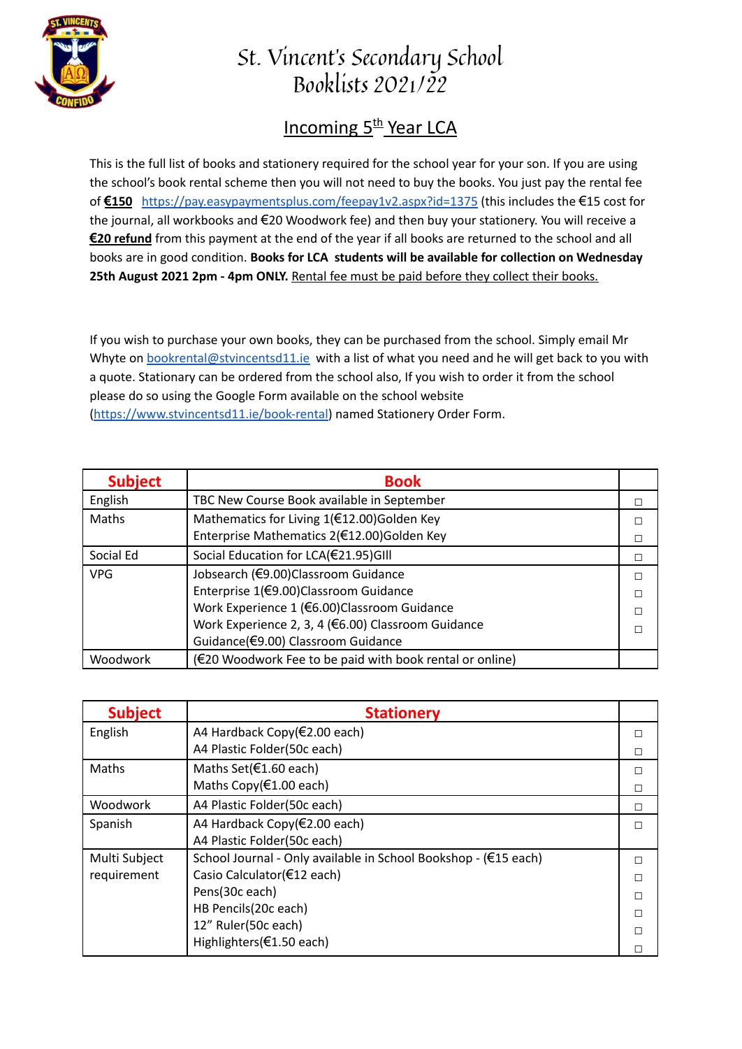

## St. Vincent's Secondary School Booklists 2021/22

## **Incoming 5<sup>th</sup> Year LCA**

This is the full list of books and stationery required for the school year for your son. If you are using the school's book rental scheme then you will not need to buy the books. You just pay the rental fee of **€150** <https://pay.easypaymentsplus.com/feepay1v2.aspx?id=1375> (this includes the €15 cost for the journal, all workbooks and €20 Woodwork fee) and then buy your stationery. You will receive a **€20 refund** from this payment at the end of the year if all books are returned to the school and all books are in good condition. **Books for LCA students will be available for collection on Wednesday 25th August 2021 2pm - 4pm ONLY.** Rental fee must be paid before they collect their books.

If you wish to purchase your own books, they can be purchased from the school. Simply email Mr Whyte on **[bookrental@stvincentsd11.ie](mailto:bookrental@stvincentsd11.ie)** with a list of what you need and he will get back to you with a quote. Stationary can be ordered from the school also, If you wish to order it from the school please do so using the Google Form available on the school website [\(https://www.stvincentsd11.ie/book-rental\)](https://www.stvincentsd11.ie/book-rental) named Stationery Order Form.

| <b>Subject</b> | <b>Book</b>                                              |  |
|----------------|----------------------------------------------------------|--|
| English        | TBC New Course Book available in September               |  |
| Maths          | Mathematics for Living 1(€12.00)Golden Key               |  |
|                | Enterprise Mathematics 2(€12.00)Golden Key               |  |
| Social Ed      | Social Education for LCA(€21.95)GIII                     |  |
| <b>VPG</b>     | Jobsearch (€9.00)Classroom Guidance                      |  |
|                | Enterprise 1(€9.00)Classroom Guidance                    |  |
|                | Work Experience 1 (€6.00)Classroom Guidance              |  |
|                | Work Experience 2, 3, 4 (€6.00) Classroom Guidance       |  |
|                | Guidance(€9.00) Classroom Guidance                       |  |
| Woodwork       | (€20 Woodwork Fee to be paid with book rental or online) |  |

| <b>Subject</b> | <b>Stationery</b>                                               |   |
|----------------|-----------------------------------------------------------------|---|
| English        | A4 Hardback Copy(€2.00 each)                                    |   |
|                | A4 Plastic Folder(50c each)                                     |   |
| Maths          | Maths Set(€1.60 each)                                           |   |
|                | Maths Copy( $f(1.00 \text{ each})$                              |   |
| Woodwork       | A4 Plastic Folder(50c each)                                     | П |
| Spanish        | A4 Hardback Copy(€2.00 each)                                    |   |
|                | A4 Plastic Folder(50c each)                                     |   |
| Multi Subject  | School Journal - Only available in School Bookshop - (€15 each) |   |
| requirement    | Casio Calculator(€12 each)                                      |   |
|                | Pens(30c each)                                                  |   |
|                | HB Pencils(20c each)                                            |   |
|                | 12" Ruler(50c each)                                             |   |
|                | Highlighters(€1.50 each)                                        |   |